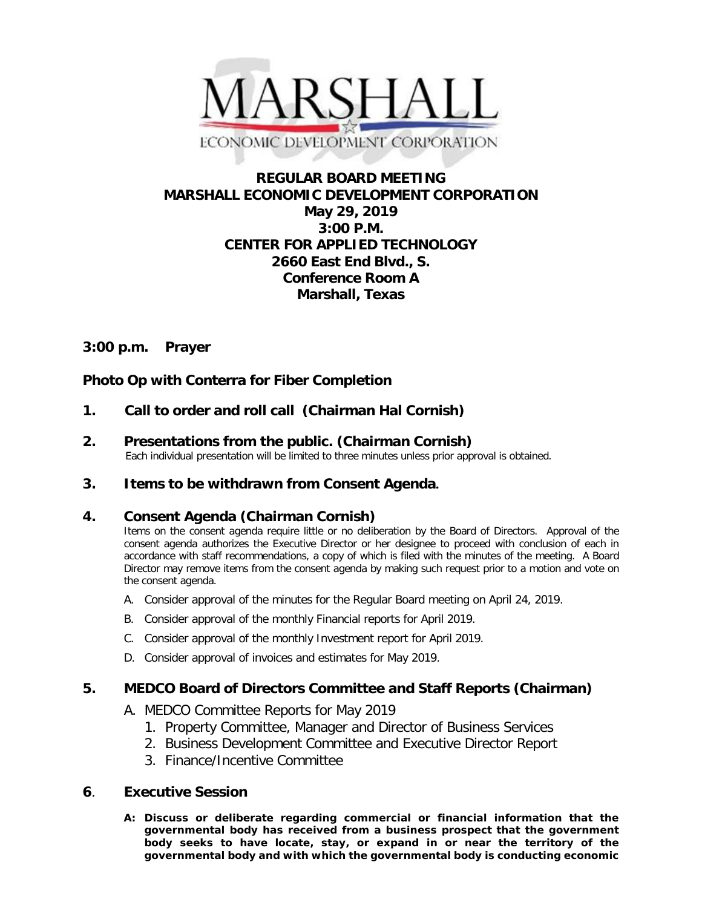

# **REGULAR BOARD MEETING MARSHALL ECONOMIC DEVELOPMENT CORPORATION May 29, 2019 3:00 P.M. CENTER FOR APPLIED TECHNOLOGY 2660 East End Blvd., S. Conference Room A Marshall, Texas**

### **3:00 p.m. Prayer**

## **Photo Op with Conterra for Fiber Completion**

- **1. Call to order and roll call (Chairman Hal Cornish)**
- **2. Presentations from the public. (Chairman Cornish)**<br>Each individual presentation will be limited to three minutes unless prior approval is obtained.
- **3. Items to be withdrawn from Consent Agenda.**

### **4. Consent Agenda (Chairman Cornish)**

Items on the consent agenda require little or no deliberation by the Board of Directors. Approval of the consent agenda authorizes the Executive Director or her designee to proceed with conclusion of each in accordance with staff recommendations, a copy of which is filed with the minutes of the meeting. A Board Director may remove items from the consent agenda by making such request prior to a motion and vote on the consent agenda.

- A. Consider approval of the minutes for the Regular Board meeting on April 24, 2019.
- B. Consider approval of the monthly Financial reports for April 2019.
- C. Consider approval of the monthly Investment report for April 2019.
- D. Consider approval of invoices and estimates for May 2019.

### **5. MEDCO Board of Directors Committee and Staff Reports (Chairman)**

- A. MEDCO Committee Reports for May 2019
	- 1. Property Committee, Manager and Director of Business Services
	- 2. Business Development Committee and Executive Director Report
	- 3. Finance/Incentive Committee

#### **6**. **Executive Session**

**A: Discuss or deliberate regarding commercial or financial information that the governmental body has received from a business prospect that the government body seeks to have locate, stay, or expand in or near the territory of the governmental body and with which the governmental body is conducting economic**